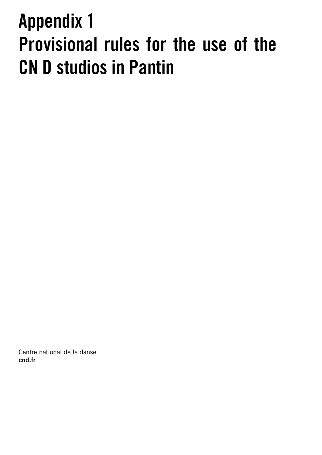# Appendix 1 Provisional rules for the use of the CN D studios in Pantin

Centre national de la danse cnd.fr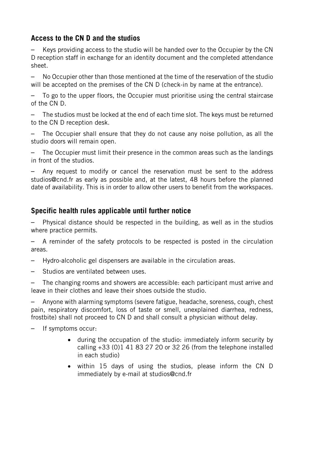## **Access to the CN D and the studios**

– Keys providing access to the studio will be handed over to the Occupier by the CN D reception staff in exchange for an identity document and the completed attendance sheet.

– No Occupier other than those mentioned at the time of the reservation of the studio will be accepted on the premises of the CN D (check-in by name at the entrance).

– To go to the upper floors, the Occupier must prioritise using the central staircase of the CN D.

– The studios must be locked at the end of each time slot. The keys must be returned to the CN D reception desk.

– The Occupier shall ensure that they do not cause any noise pollution, as all the studio doors will remain open.

– The Occupier must limit their presence in the common areas such as the landings in front of the studios.

– Any request to modify or cancel the reservation must be sent to the address studios@cnd.fr as early as possible and, at the latest, 48 hours before the planned date of availability. This is in order to allow other users to benefit from the workspaces.

## **Specific health rules applicable until further notice**

– Physical distance should be respected in the building, as well as in the studios where practice permits.

– A reminder of the safety protocols to be respected is posted in the circulation areas.

- Hydro-alcoholic gel dispensers are available in the circulation areas.
- Studios are ventilated between uses.

– The changing rooms and showers are accessible: each participant must arrive and leave in their clothes and leave their shoes outside the studio.

– Anyone with alarming symptoms (severe fatigue, headache, soreness, cough, chest pain, respiratory discomfort, loss of taste or smell, unexplained diarrhea, redness, frostbite) shall not proceed to CN D and shall consult a physician without delay.

– If symptoms occur:

- during the occupation of the studio: immediately inform security by calling +33 (0)1 41 83 27 20 or 32 26 (from the telephone installed in each studio)
- within 15 days of using the studios, please inform the CN D immediately by e-mail at studios@cnd.fr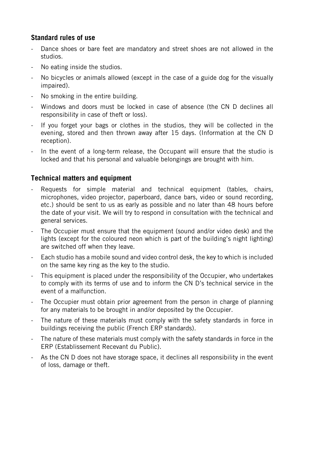### **Standard rules of use**

- Dance shoes or bare feet are mandatory and street shoes are not allowed in the studios.
- No eating inside the studios.
- No bicycles or animals allowed (except in the case of a guide dog for the visually impaired).
- No smoking in the entire building.
- Windows and doors must be locked in case of absence (the CN D declines all responsibility in case of theft or loss).
- If you forget your bags or clothes in the studios, they will be collected in the evening, stored and then thrown away after 15 days. (Information at the CN D reception).
- In the event of a long-term release, the Occupant will ensure that the studio is locked and that his personal and valuable belongings are brought with him.

#### **Technical matters and equipment**

- Requests for simple material and technical equipment (tables, chairs, microphones, video projector, paperboard, dance bars, video or sound recording, etc.) should be sent to us as early as possible and no later than 48 hours before the date of your visit. We will try to respond in consultation with the technical and general services.
- The Occupier must ensure that the equipment (sound and/or video desk) and the lights (except for the coloured neon which is part of the building's night lighting) are switched off when they leave.
- Each studio has a mobile sound and video control desk, the key to which is included on the same key ring as the key to the studio.
- This equipment is placed under the responsibility of the Occupier, who undertakes to comply with its terms of use and to inform the CN D's technical service in the event of a malfunction.
- The Occupier must obtain prior agreement from the person in charge of planning for any materials to be brought in and/or deposited by the Occupier.
- The nature of these materials must comply with the safety standards in force in buildings receiving the public (French ERP standards).
- The nature of these materials must comply with the safety standards in force in the ERP (Establissement Recevant du Public).
- As the CN D does not have storage space, it declines all responsibility in the event of loss, damage or theft.